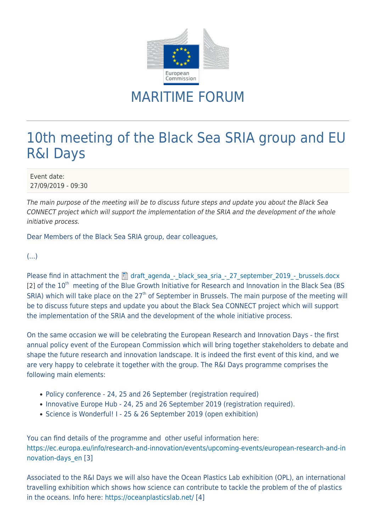

## MARITIME FORUM

## 10th meeting of the Black Sea SRIA group and EU R&I Days

Event date: 27/09/2019 - 09:30

The main purpose of the meeting will be to discuss future steps and update you about the Black Sea CONNECT project which will support the implementation of the SRIA and the development of the whole initiative process.

Dear Members of the Black Sea SRIA group, dear colleagues,

(...)

Please find in attachment the  $\Box$  draft agenda - black sea sria - 27 september 2019 - brussels.docx  $[2]$  of the  $10<sup>th</sup>$  meeting of the Blue Growth Initiative for Research and Innovation in the Black Sea (BS) SRIA) which will take place on the  $27<sup>th</sup>$  of September in Brussels. The main purpose of the meeting will be to discuss future steps and update you about the Black Sea CONNECT project which will support the implementation of the SRIA and the development of the whole initiative process.

On the same occasion we will be celebrating the European Research and Innovation Days - the first annual policy event of the European Commission which will bring together stakeholders to debate and shape the future research and innovation landscape. It is indeed the first event of this kind, and we are very happy to celebrate it together with the group. The R&I Days programme comprises the following main elements:

- Policy conference 24, 25 and 26 September (registration required)
- Innovative Europe Hub 24, 25 and 26 September 2019 (registration required).
- Science is Wonderful! I 25 & 26 September 2019 (open exhibition)

You can find details of the programme and other useful information here: [https://ec.europa.eu/info/research-and-innovation/events/upcoming-events/european-research-and-in](https://ec.europa.eu/info/research-and-innovation/events/upcoming-events/european-research-and-innovation-days_en) [novation-days\\_en](https://ec.europa.eu/info/research-and-innovation/events/upcoming-events/european-research-and-innovation-days_en) [3]

Associated to the R&I Days we will also have the Ocean Plastics Lab exhibition (OPL), an international travelling exhibition which shows how science can contribute to tackle the problem of the of plastics in the oceans. Info here:<https://oceanplasticslab.net/> [4]